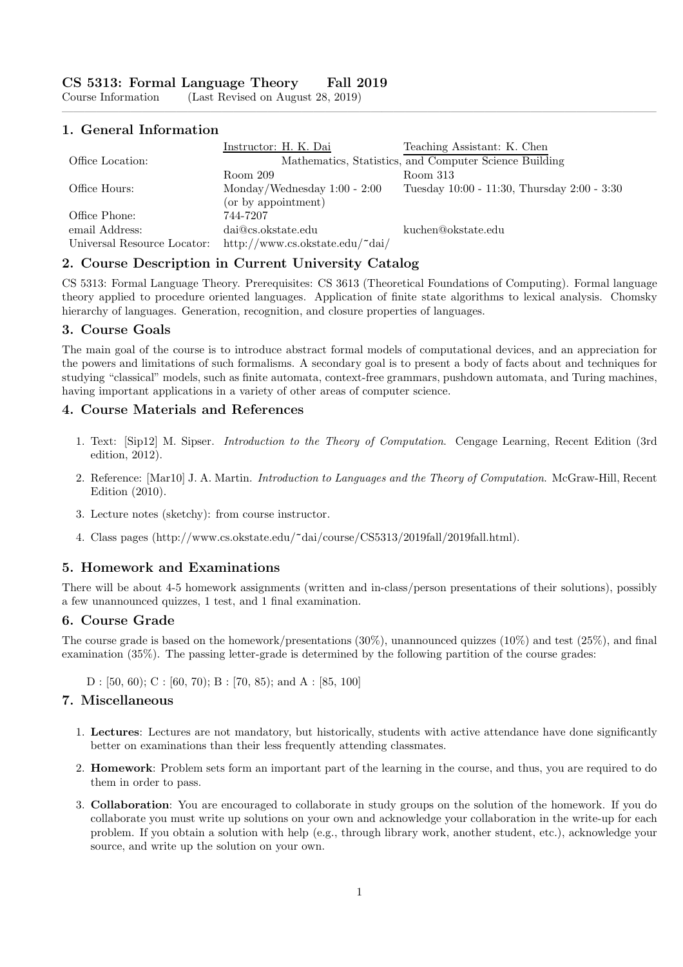$(Last Revised on August 28, 2019)$ 

#### 1. General Information

|                             | Instructor: H. K. Dai           | Teaching Assistant: K. Chen                            |
|-----------------------------|---------------------------------|--------------------------------------------------------|
| Office Location:            |                                 | Mathematics, Statistics, and Computer Science Building |
|                             | Room 209                        | Room 313                                               |
| Office Hours:               | Monday/Wednesday $1:00 - 2:00$  | Tuesday 10:00 - 11:30, Thursday 2:00 - 3:30            |
|                             | (or by appointment)             |                                                        |
| Office Phone:               | 744-7207                        |                                                        |
| email Address:              | dai@cs.okstate.edu              | kuchen@okstate.edu                                     |
| Universal Resource Locator: | http://www.cs.okstate.edu/~dai/ |                                                        |

————————————————————————————————————————————————————

## 2. Course Description in Current University Catalog

CS 5313: Formal Language Theory. Prerequisites: CS 3613 (Theoretical Foundations of Computing). Formal language theory applied to procedure oriented languages. Application of finite state algorithms to lexical analysis. Chomsky hierarchy of languages. Generation, recognition, and closure properties of languages.

#### 3. Course Goals

The main goal of the course is to introduce abstract formal models of computational devices, and an appreciation for the powers and limitations of such formalisms. A secondary goal is to present a body of facts about and techniques for studying "classical" models, such as finite automata, context-free grammars, pushdown automata, and Turing machines, having important applications in a variety of other areas of computer science.

#### 4. Course Materials and References

- 1. Text: [Sip12] M. Sipser. Introduction to the Theory of Computation. Cengage Learning, Recent Edition (3rd edition, 2012).
- 2. Reference: [Mar10] J. A. Martin. Introduction to Languages and the Theory of Computation. McGraw-Hill, Recent Edition (2010).
- 3. Lecture notes (sketchy): from course instructor.
- 4. Class pages (http://www.cs.okstate.edu/~dai/course/CS5313/2019fall/2019fall.html).

#### 5. Homework and Examinations

There will be about 4-5 homework assignments (written and in-class/person presentations of their solutions), possibly a few unannounced quizzes, 1 test, and 1 final examination.

#### 6. Course Grade

The course grade is based on the homework/presentations (30%), unannounced quizzes (10%) and test (25%), and final examination (35%). The passing letter-grade is determined by the following partition of the course grades:

 $D : [50, 60); C : [60, 70); B : [70, 85);$  and  $A : [85, 100]$ 

## 7. Miscellaneous

- 1. Lectures: Lectures are not mandatory, but historically, students with active attendance have done significantly better on examinations than their less frequently attending classmates.
- 2. Homework: Problem sets form an important part of the learning in the course, and thus, you are required to do them in order to pass.
- 3. Collaboration: You are encouraged to collaborate in study groups on the solution of the homework. If you do collaborate you must write up solutions on your own and acknowledge your collaboration in the write-up for each problem. If you obtain a solution with help (e.g., through library work, another student, etc.), acknowledge your source, and write up the solution on your own.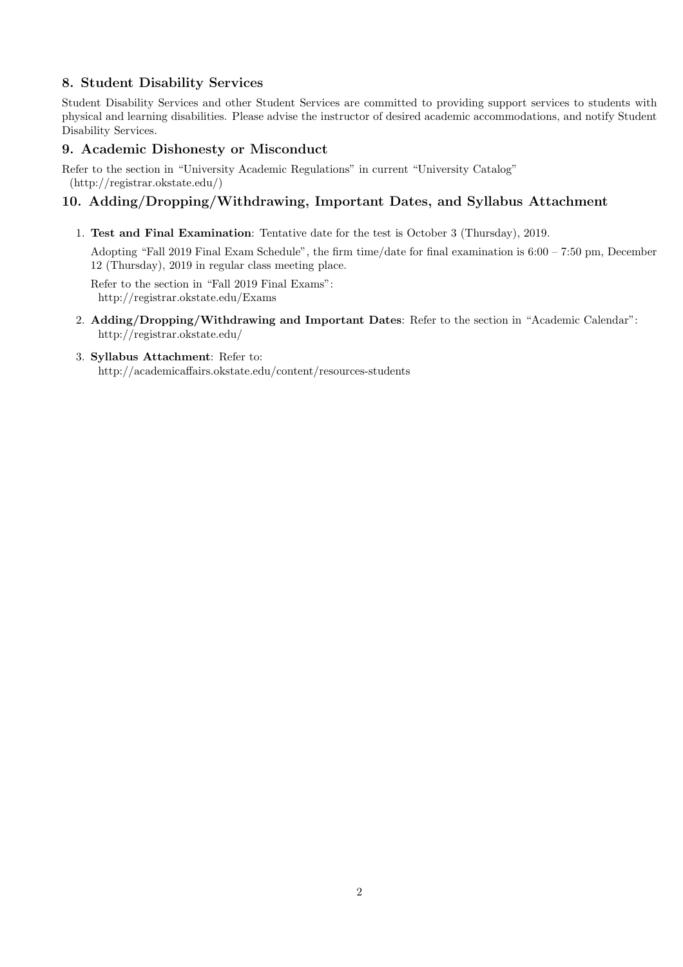# 8. Student Disability Services

Student Disability Services and other Student Services are committed to providing support services to students with physical and learning disabilities. Please advise the instructor of desired academic accommodations, and notify Student Disability Services.

# 9. Academic Dishonesty or Misconduct

Refer to the section in "University Academic Regulations" in current "University Catalog" (http://registrar.okstate.edu/)

## 10. Adding/Dropping/Withdrawing, Important Dates, and Syllabus Attachment

1. Test and Final Examination: Tentative date for the test is October 3 (Thursday), 2019.

Adopting "Fall 2019 Final Exam Schedule", the firm time/date for final examination is 6:00 – 7:50 pm, December 12 (Thursday), 2019 in regular class meeting place.

Refer to the section in "Fall 2019 Final Exams": http://registrar.okstate.edu/Exams

2. Adding/Dropping/Withdrawing and Important Dates: Refer to the section in "Academic Calendar": http://registrar.okstate.edu/

#### 3. Syllabus Attachment: Refer to: http://academicaffairs.okstate.edu/content/resources-students